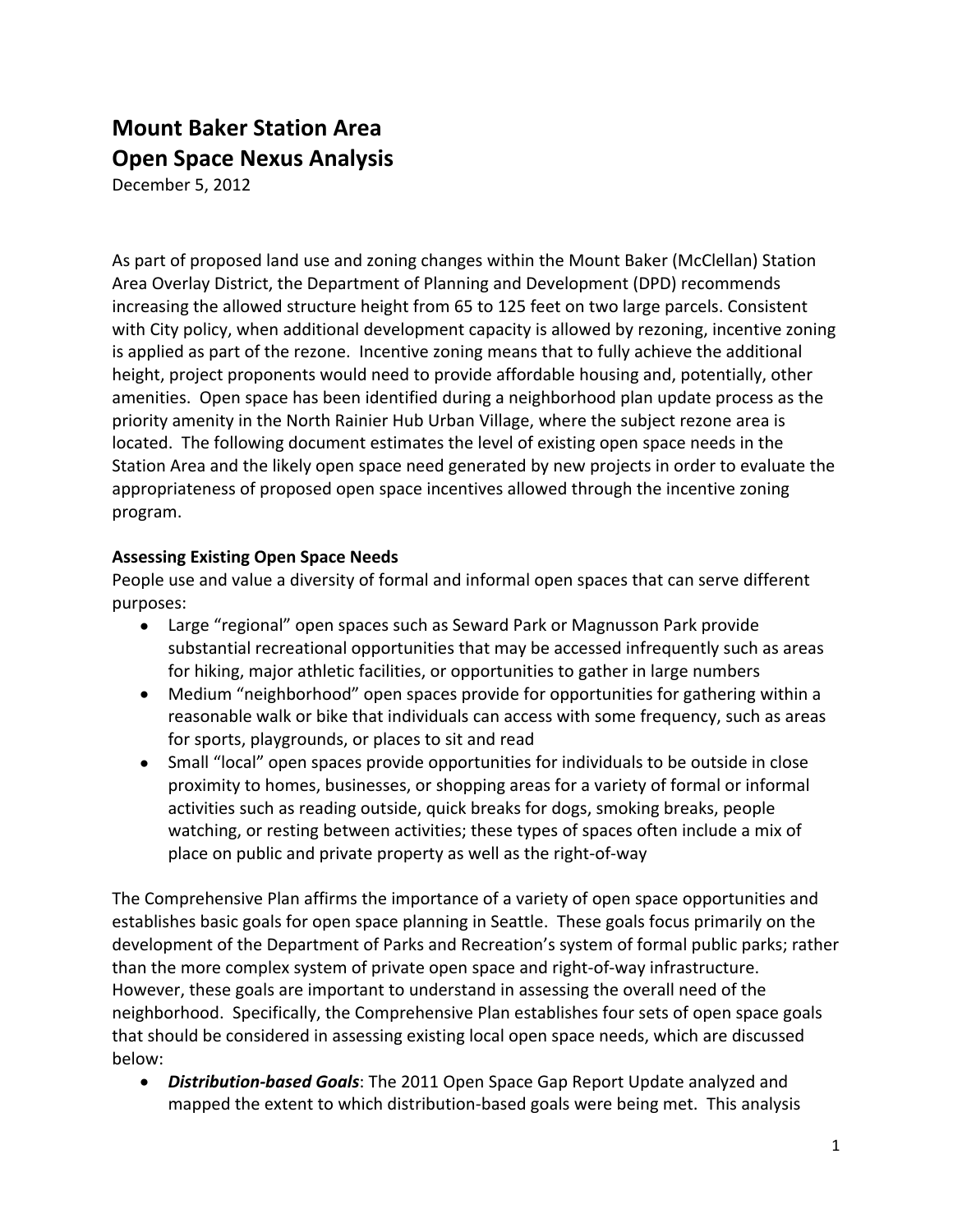# **Mount Baker Station Area Open Space Nexus Analysis**

December 5, 2012

As part of proposed land use and zoning changes within the Mount Baker (McClellan) Station Area Overlay District, the Department of Planning and Development (DPD) recommends increasing the allowed structure height from 65 to 125 feet on two large parcels. Consistent with City policy, when additional development capacity is allowed by rezoning, incentive zoning is applied as part of the rezone. Incentive zoning means that to fully achieve the additional height, project proponents would need to provide affordable housing and, potentially, other amenities. Open space has been identified during a neighborhood plan update process as the priority amenity in the North Rainier Hub Urban Village, where the subject rezone area is located. The following document estimates the level of existing open space needs in the Station Area and the likely open space need generated by new projects in order to evaluate the appropriateness of proposed open space incentives allowed through the incentive zoning program.

## **Assessing Existing Open Space Needs**

People use and value a diversity of formal and informal open spaces that can serve different purposes:

- Large "regional" open spaces such as Seward Park or Magnusson Park provide substantial recreational opportunities that may be accessed infrequently such as areas for hiking, major athletic facilities, or opportunities to gather in large numbers
- Medium "neighborhood" open spaces provide for opportunities for gathering within a reasonable walk or bike that individuals can access with some frequency, such as areas for sports, playgrounds, or places to sit and read
- Small "local" open spaces provide opportunities for individuals to be outside in close proximity to homes, businesses, or shopping areas for a variety of formal or informal activities such as reading outside, quick breaks for dogs, smoking breaks, people watching, or resting between activities; these types of spaces often include a mix of place on public and private property as well as the right‐of‐way

The Comprehensive Plan affirms the importance of a variety of open space opportunities and establishes basic goals for open space planning in Seattle. These goals focus primarily on the development of the Department of Parks and Recreation's system of formal public parks; rather than the more complex system of private open space and right‐of‐way infrastructure. However, these goals are important to understand in assessing the overall need of the neighborhood. Specifically, the Comprehensive Plan establishes four sets of open space goals that should be considered in assessing existing local open space needs, which are discussed below:

● Distribution-based Goals: The 2011 Open Space Gap Report Update analyzed and mapped the extent to which distribution‐based goals were being met. This analysis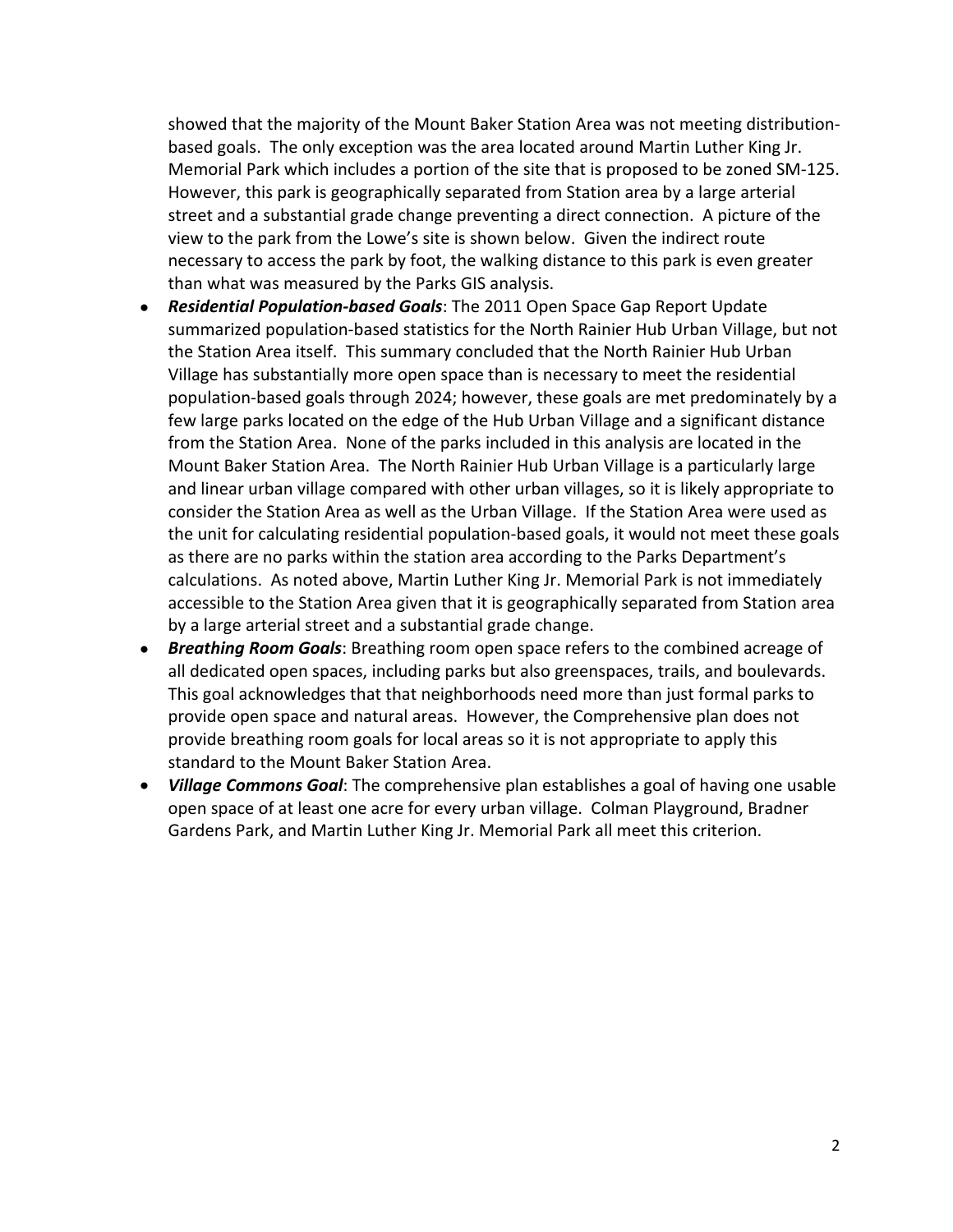showed that the majority of the Mount Baker Station Area was not meeting distribution‐ based goals. The only exception was the area located around Martin Luther King Jr. Memorial Park which includes a portion of the site that is proposed to be zoned SM‐125. However, this park is geographically separated from Station area by a large arterial street and a substantial grade change preventing a direct connection. A picture of the view to the park from the Lowe's site is shown below. Given the indirect route necessary to access the park by foot, the walking distance to this park is even greater than what was measured by the Parks GIS analysis.

- **Residential Population-based Goals**: The 2011 Open Space Gap Report Update summarized population-based statistics for the North Rainier Hub Urban Village, but not the Station Area itself. This summary concluded that the North Rainier Hub Urban Village has substantially more open space than is necessary to meet the residential population‐based goals through 2024; however, these goals are met predominately by a few large parks located on the edge of the Hub Urban Village and a significant distance from the Station Area. None of the parks included in this analysis are located in the Mount Baker Station Area. The North Rainier Hub Urban Village is a particularly large and linear urban village compared with other urban villages, so it is likely appropriate to consider the Station Area as well as the Urban Village. If the Station Area were used as the unit for calculating residential population‐based goals, it would not meet these goals as there are no parks within the station area according to the Parks Department's calculations. As noted above, Martin Luther King Jr. Memorial Park is not immediately accessible to the Station Area given that it is geographically separated from Station area by a large arterial street and a substantial grade change.
- **Breathing Room Goals**: Breathing room open space refers to the combined acreage of all dedicated open spaces, including parks but also greenspaces, trails, and boulevards. This goal acknowledges that that neighborhoods need more than just formal parks to provide open space and natural areas. However, the Comprehensive plan does not provide breathing room goals for local areas so it is not appropriate to apply this standard to the Mount Baker Station Area.
- *Village Commons Goal*: The comprehensive plan establishes a goal of having one usable open space of at least one acre for every urban village. Colman Playground, Bradner Gardens Park, and Martin Luther King Jr. Memorial Park all meet this criterion.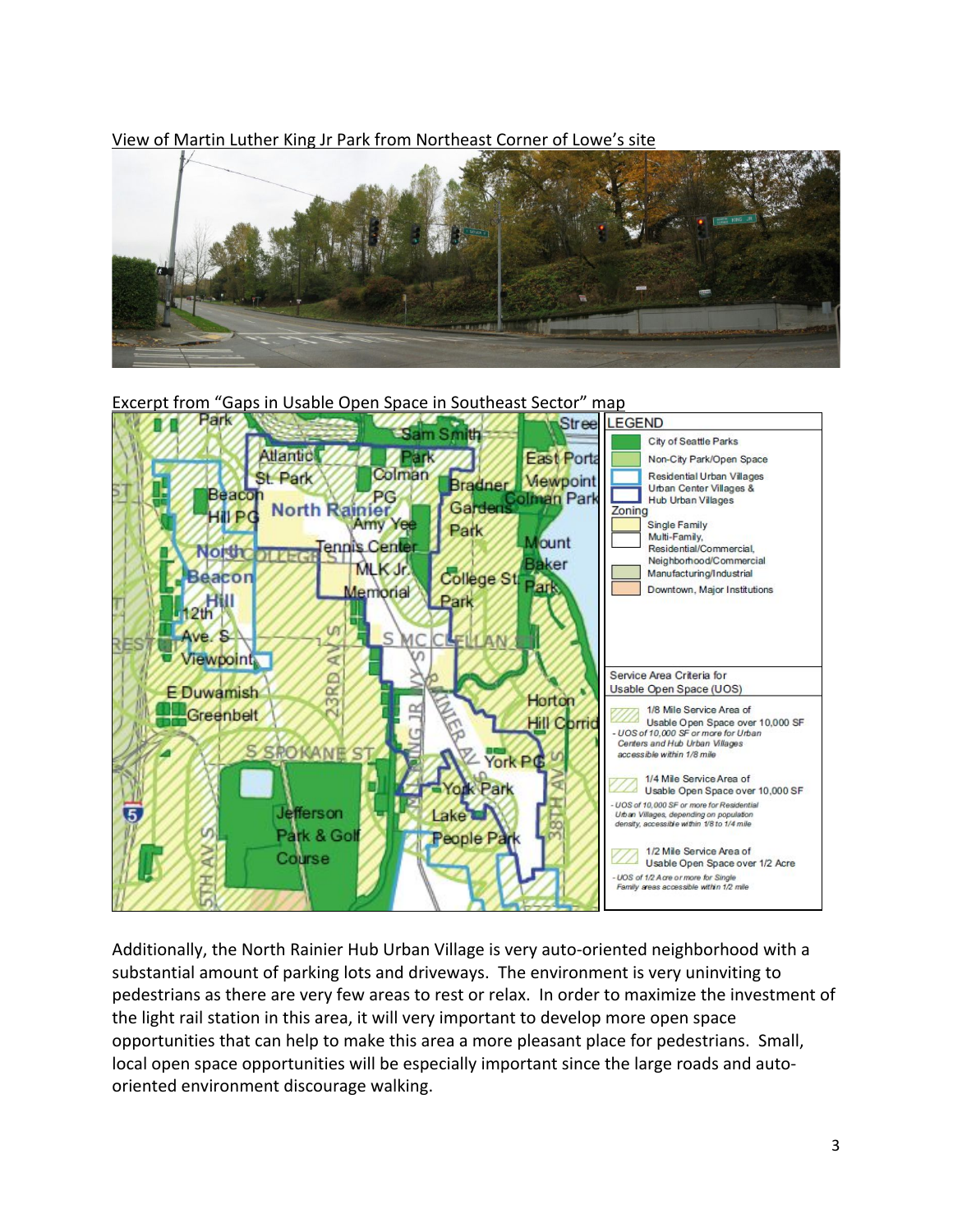View of Martin Luther King Jr Park from Northeast Corner of Lowe's site







Additionally, the North Rainier Hub Urban Village is very auto‐oriented neighborhood with a substantial amount of parking lots and driveways. The environment is very uninviting to pedestrians as there are very few areas to rest or relax. In order to maximize the investment of the light rail station in this area, it will very important to develop more open space opportunities that can help to make this area a more pleasant place for pedestrians. Small, local open space opportunities will be especially important since the large roads and autooriented environment discourage walking.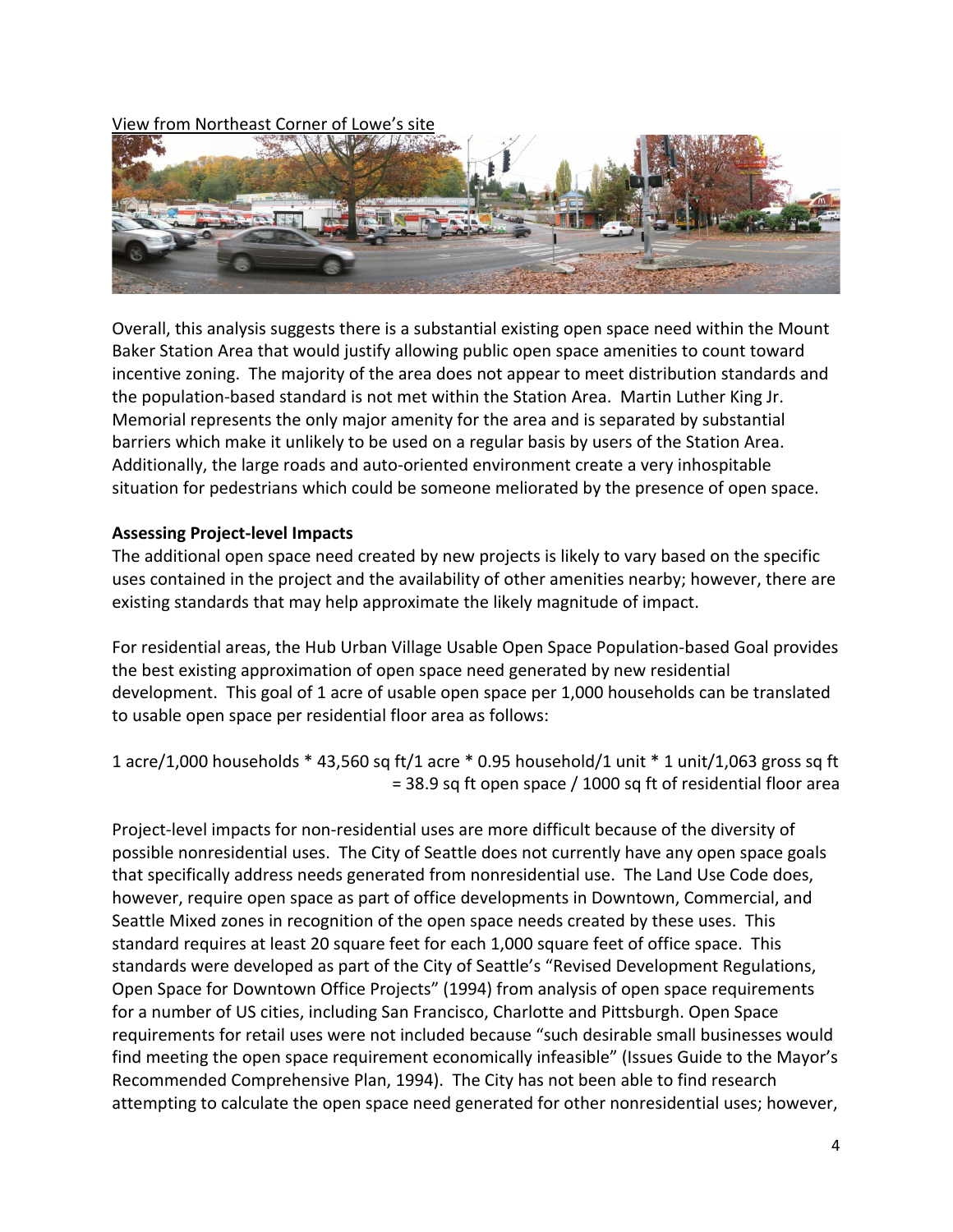View from Northeast Corner of Lowe's site



Overall, this analysis suggests there is a substantial existing open space need within the Mount Baker Station Area that would justify allowing public open space amenities to count toward incentive zoning. The majority of the area does not appear to meet distribution standards and the population‐based standard is not met within the Station Area. Martin Luther King Jr. Memorial represents the only major amenity for the area and is separated by substantial barriers which make it unlikely to be used on a regular basis by users of the Station Area. Additionally, the large roads and auto‐oriented environment create a very inhospitable situation for pedestrians which could be someone meliorated by the presence of open space.

### **Assessing Project‐level Impacts**

The additional open space need created by new projects is likely to vary based on the specific uses contained in the project and the availability of other amenities nearby; however, there are existing standards that may help approximate the likely magnitude of impact.

For residential areas, the Hub Urban Village Usable Open Space Population‐based Goal provides the best existing approximation of open space need generated by new residential development. This goal of 1 acre of usable open space per 1,000 households can be translated to usable open space per residential floor area as follows:

1 acre/1,000 households \* 43,560 sq ft/1 acre \* 0.95 household/1 unit \* 1 unit/1,063 gross sq ft = 38.9 sq ft open space / 1000 sq ft of residential floor area

Project-level impacts for non-residential uses are more difficult because of the diversity of possible nonresidential uses. The City of Seattle does not currently have any open space goals that specifically address needs generated from nonresidential use. The Land Use Code does, however, require open space as part of office developments in Downtown, Commercial, and Seattle Mixed zones in recognition of the open space needs created by these uses. This standard requires at least 20 square feet for each 1,000 square feet of office space. This standards were developed as part of the City of Seattle's "Revised Development Regulations, Open Space for Downtown Office Projects" (1994) from analysis of open space requirements for a number of US cities, including San Francisco, Charlotte and Pittsburgh. Open Space requirements for retail uses were not included because "such desirable small businesses would find meeting the open space requirement economically infeasible" (Issues Guide to the Mayor's Recommended Comprehensive Plan, 1994). The City has not been able to find research attempting to calculate the open space need generated for other nonresidential uses; however,